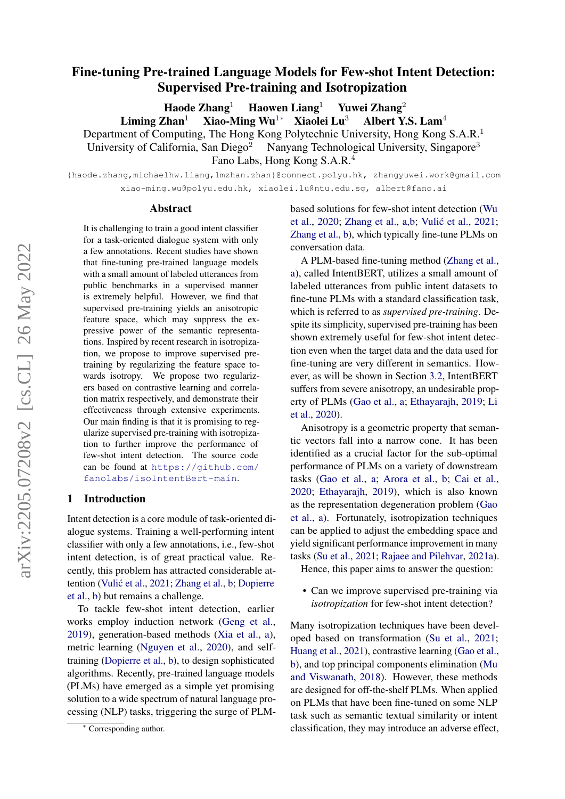# Fine-tuning Pre-trained Language Models for Few-shot Intent Detection: Supervised Pre-training and Isotropization

Haode Zhang<sup>1</sup> Haowen Liang<sup>1</sup> Yuwei Zhang<sup>2</sup>

Liming Zhan<sup>1</sup> Xiao-Ming Wu<sup>1∗</sup> Xiaolei Lu<sup>3</sup> Albert Y.S. Lam<sup>4</sup>

Department of Computing, The Hong Kong Polytechnic University, Hong Kong S.A.R.<sup>1</sup>

University of California, San Diego<sup>2</sup> Nanyang Technological University, Singapore<sup>3</sup>

Fano Labs, Hong Kong S.A.R.<sup>4</sup>

{haode.zhang,michaelhw.liang,lmzhan.zhan}@connect.polyu.hk, zhangyuwei.work@gmail.com xiao-ming.wu@polyu.edu.hk, xiaolei.lu@ntu.edu.sg, albert@fano.ai

#### Abstract

It is challenging to train a good intent classifier for a task-oriented dialogue system with only a few annotations. Recent studies have shown that fine-tuning pre-trained language models with a small amount of labeled utterances from public benchmarks in a supervised manner is extremely helpful. However, we find that supervised pre-training yields an anisotropic feature space, which may suppress the expressive power of the semantic representations. Inspired by recent research in isotropization, we propose to improve supervised pretraining by regularizing the feature space towards isotropy. We propose two regularizers based on contrastive learning and correlation matrix respectively, and demonstrate their effectiveness through extensive experiments. Our main finding is that it is promising to regularize supervised pre-training with isotropization to further improve the performance of few-shot intent detection. The source code can be found at [https://github.com/](https://github.com/fanolabs/isoIntentBert-main) [fanolabs/isoIntentBert-main](https://github.com/fanolabs/isoIntentBert-main).

### 1 Introduction

Intent detection is a core module of task-oriented dialogue systems. Training a well-performing intent classifier with only a few annotations, i.e., few-shot intent detection, is of great practical value. Recently, this problem has attracted considerable at-tention (Vulić et al., [2021;](#page-10-0) [Zhang et al.,](#page-10-1) [b;](#page-10-1) [Dopierre](#page-9-0) [et al.,](#page-9-0) [b\)](#page-9-0) but remains a challenge.

To tackle few-shot intent detection, earlier works employ induction network [\(Geng et al.,](#page-9-1) [2019\)](#page-9-1), generation-based methods [\(Xia et al.,](#page-10-2) [a\)](#page-10-2), metric learning [\(Nguyen et al.,](#page-9-2) [2020\)](#page-9-2), and selftraining [\(Dopierre et al.,](#page-9-0) [b\)](#page-9-0), to design sophisticated algorithms. Recently, pre-trained language models (PLMs) have emerged as a simple yet promising solution to a wide spectrum of natural language processing (NLP) tasks, triggering the surge of PLM- based solutions for few-shot intent detection [\(Wu](#page-10-3) [et al.,](#page-10-3) [2020;](#page-10-3) [Zhang et al.,](#page-10-4) [a,](#page-10-4)[b;](#page-10-1) Vulić et al., [2021;](#page-10-0) [Zhang et al.,](#page-10-1) [b\)](#page-10-1), which typically fine-tune PLMs on conversation data.

A PLM-based fine-tuning method [\(Zhang et al.,](#page-10-4) [a\)](#page-10-4), called IntentBERT, utilizes a small amount of labeled utterances from public intent datasets to fine-tune PLMs with a standard classification task, which is referred to as *supervised pre-training*. Despite its simplicity, supervised pre-training has been shown extremely useful for few-shot intent detection even when the target data and the data used for fine-tuning are very different in semantics. However, as will be shown in Section [3.2,](#page-2-0) IntentBERT suffers from severe anisotropy, an undesirable property of PLMs [\(Gao et al.,](#page-9-3) [a;](#page-9-3) [Ethayarajh,](#page-9-4) [2019;](#page-9-4) [Li](#page-9-5) [et al.,](#page-9-5) [2020\)](#page-9-5).

Anisotropy is a geometric property that semantic vectors fall into a narrow cone. It has been identified as a crucial factor for the sub-optimal performance of PLMs on a variety of downstream tasks [\(Gao et al.,](#page-9-3) [a;](#page-9-3) [Arora et al.,](#page-9-6) [b;](#page-9-6) [Cai et al.,](#page-9-7) [2020;](#page-9-7) [Ethayarajh,](#page-9-4) [2019\)](#page-9-4), which is also known as the representation degeneration problem [\(Gao](#page-9-3) [et al.,](#page-9-3) [a\)](#page-9-3). Fortunately, isotropization techniques can be applied to adjust the embedding space and yield significant performance improvement in many tasks [\(Su et al.,](#page-10-5) [2021;](#page-10-5) [Rajaee and Pilehvar,](#page-10-6) [2021a\)](#page-10-6).

Hence, this paper aims to answer the question:

• Can we improve supervised pre-training via *isotropization* for few-shot intent detection?

Many isotropization techniques have been developed based on transformation [\(Su et al.,](#page-10-5) [2021;](#page-10-5) [Huang et al.,](#page-9-8) [2021\)](#page-9-8), contrastive learning [\(Gao et al.,](#page-9-9) [b\)](#page-9-9), and top principal components elimination [\(Mu](#page-9-10) [and Viswanath,](#page-9-10) [2018\)](#page-9-10). However, these methods are designed for off-the-shelf PLMs. When applied on PLMs that have been fine-tuned on some NLP task such as semantic textual similarity or intent classification, they may introduce an adverse effect,

<sup>∗</sup> Corresponding author.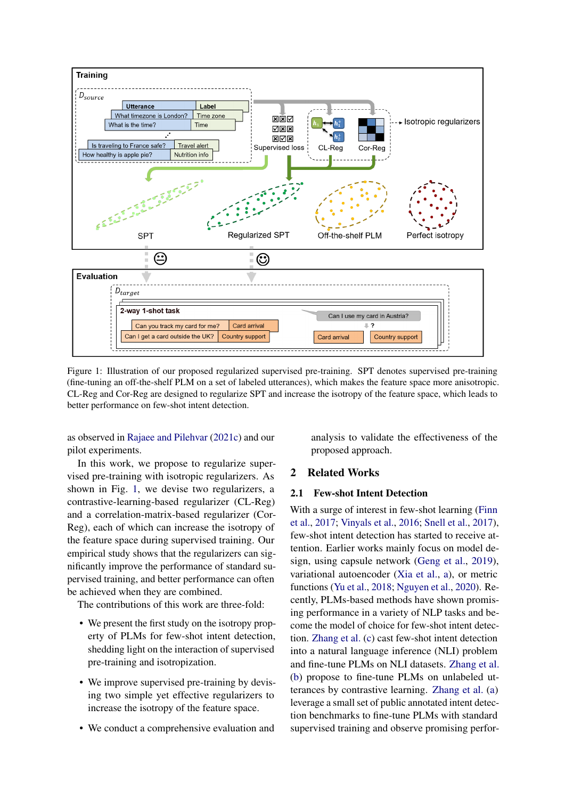<span id="page-1-0"></span>

Figure 1: Illustration of our proposed regularized supervised pre-training. SPT denotes supervised pre-training (fine-tuning an off-the-shelf PLM on a set of labeled utterances), which makes the feature space more anisotropic. CL-Reg and Cor-Reg are designed to regularize SPT and increase the isotropy of the feature space, which leads to better performance on few-shot intent detection.

as observed in [Rajaee and Pilehvar](#page-10-7) [\(2021c\)](#page-10-7) and our pilot experiments.

In this work, we propose to regularize supervised pre-training with isotropic regularizers. As shown in Fig. [1,](#page-1-0) we devise two regularizers, a contrastive-learning-based regularizer (CL-Reg) and a correlation-matrix-based regularizer (Cor-Reg), each of which can increase the isotropy of the feature space during supervised training. Our empirical study shows that the regularizers can significantly improve the performance of standard supervised training, and better performance can often be achieved when they are combined.

The contributions of this work are three-fold:

- We present the first study on the isotropy property of PLMs for few-shot intent detection, shedding light on the interaction of supervised pre-training and isotropization.
- We improve supervised pre-training by devising two simple yet effective regularizers to increase the isotropy of the feature space.
- We conduct a comprehensive evaluation and

analysis to validate the effectiveness of the proposed approach.

## 2 Related Works

## 2.1 Few-shot Intent Detection

With a surge of interest in few-shot learning [\(Finn](#page-9-11) [et al.,](#page-9-11) [2017;](#page-9-11) [Vinyals et al.,](#page-10-8) [2016;](#page-10-8) [Snell et al.,](#page-10-9) [2017\)](#page-10-9), few-shot intent detection has started to receive attention. Earlier works mainly focus on model design, using capsule network [\(Geng et al.,](#page-9-1) [2019\)](#page-9-1), variational autoencoder [\(Xia et al.,](#page-10-2) [a\)](#page-10-2), or metric functions [\(Yu et al.,](#page-10-10) [2018;](#page-10-10) [Nguyen et al.,](#page-9-2) [2020\)](#page-9-2). Recently, PLMs-based methods have shown promising performance in a variety of NLP tasks and become the model of choice for few-shot intent detection. [Zhang et al.](#page-10-11) [\(c\)](#page-10-11) cast few-shot intent detection into a natural language inference (NLI) problem and fine-tune PLMs on NLI datasets. [Zhang et al.](#page-10-1) [\(b\)](#page-10-1) propose to fine-tune PLMs on unlabeled utterances by contrastive learning. [Zhang et al.](#page-10-4) [\(a\)](#page-10-4) leverage a small set of public annotated intent detection benchmarks to fine-tune PLMs with standard supervised training and observe promising perfor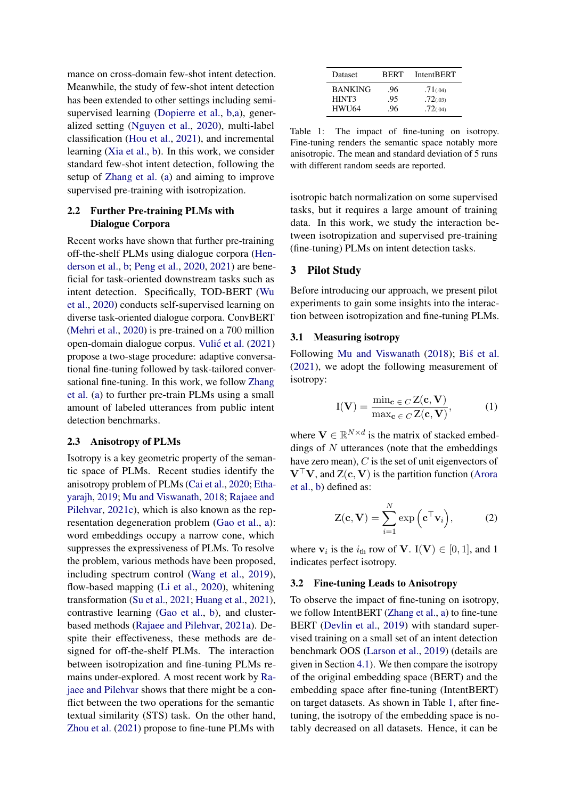mance on cross-domain few-shot intent detection. Meanwhile, the study of few-shot intent detection has been extended to other settings including semisupervised learning [\(Dopierre et al.,](#page-9-0) [b](#page-9-0)[,a\)](#page-9-12), generalized setting [\(Nguyen et al.,](#page-9-2) [2020\)](#page-9-2), multi-label classification [\(Hou et al.,](#page-9-13) [2021\)](#page-9-13), and incremental learning [\(Xia et al.,](#page-10-12) [b\)](#page-10-12). In this work, we consider standard few-shot intent detection, following the setup of [Zhang et al.](#page-10-4) [\(a\)](#page-10-4) and aiming to improve supervised pre-training with isotropization.

## 2.2 Further Pre-training PLMs with Dialogue Corpora

Recent works have shown that further pre-training off-the-shelf PLMs using dialogue corpora [\(Hen](#page-9-14)[derson et al.,](#page-9-14) [b;](#page-9-14) [Peng et al.,](#page-10-13) [2020,](#page-10-13) [2021\)](#page-10-14) are beneficial for task-oriented downstream tasks such as intent detection. Specifically, TOD-BERT [\(Wu](#page-10-3) [et al.,](#page-10-3) [2020\)](#page-10-3) conducts self-supervised learning on diverse task-oriented dialogue corpora. ConvBERT [\(Mehri et al.,](#page-9-15) [2020\)](#page-9-15) is pre-trained on a 700 million open-domain dialogue corpus. Vulić et al. [\(2021\)](#page-10-0) propose a two-stage procedure: adaptive conversational fine-tuning followed by task-tailored conversational fine-tuning. In this work, we follow [Zhang](#page-10-4) [et al.](#page-10-4) [\(a\)](#page-10-4) to further pre-train PLMs using a small amount of labeled utterances from public intent detection benchmarks.

#### 2.3 Anisotropy of PLMs

Isotropy is a key geometric property of the semantic space of PLMs. Recent studies identify the anisotropy problem of PLMs [\(Cai et al.,](#page-9-7) [2020;](#page-9-7) [Etha](#page-9-4)[yarajh,](#page-9-4) [2019;](#page-9-4) [Mu and Viswanath,](#page-9-10) [2018;](#page-9-10) [Rajaee and](#page-10-7) [Pilehvar,](#page-10-7) [2021c\)](#page-10-7), which is also known as the representation degeneration problem [\(Gao et al.,](#page-9-3) [a\)](#page-9-3): word embeddings occupy a narrow cone, which suppresses the expressiveness of PLMs. To resolve the problem, various methods have been proposed, including spectrum control [\(Wang et al.,](#page-10-15) [2019\)](#page-10-15), flow-based mapping [\(Li et al.,](#page-9-5) [2020\)](#page-9-5), whitening transformation [\(Su et al.,](#page-10-5) [2021;](#page-10-5) [Huang et al.,](#page-9-8) [2021\)](#page-9-8), contrastive learning [\(Gao et al.,](#page-9-9) [b\)](#page-9-9), and clusterbased methods [\(Rajaee and Pilehvar,](#page-10-6) [2021a\)](#page-10-6). Despite their effectiveness, these methods are designed for off-the-shelf PLMs. The interaction between isotropization and fine-tuning PLMs remains under-explored. A most recent work by [Ra](#page-10-16)[jaee and Pilehvar](#page-10-16) shows that there might be a conflict between the two operations for the semantic textual similarity (STS) task. On the other hand, [Zhou et al.](#page-10-17) [\(2021\)](#page-10-17) propose to fine-tune PLMs with

<span id="page-2-1"></span>

| Dataset        | <b>BERT</b> | <b>IntentBERT</b> |
|----------------|-------------|-------------------|
| <b>BANKING</b> | .96         | .71(.04)          |
| HINT3          | .95         | .72(03)           |
| <b>HWU64</b>   | .96         | .72(.04)          |

Table 1: The impact of fine-tuning on isotropy. Fine-tuning renders the semantic space notably more anisotropic. The mean and standard deviation of 5 runs with different random seeds are reported.

isotropic batch normalization on some supervised tasks, but it requires a large amount of training data. In this work, we study the interaction between isotropization and supervised pre-training (fine-tuning) PLMs on intent detection tasks.

## 3 Pilot Study

Before introducing our approach, we present pilot experiments to gain some insights into the interaction between isotropization and fine-tuning PLMs.

## 3.1 Measuring isotropy

Following [Mu and Viswanath](#page-9-10) [\(2018\)](#page-9-10); [Bis et al.](#page-9-16) [\(2021\)](#page-9-16), we adopt the following measurement of isotropy:

$$
I(V) = \frac{\min_{\mathbf{c} \in C} Z(\mathbf{c}, V)}{\max_{\mathbf{c} \in C} Z(\mathbf{c}, V)},
$$
 (1)

where  $V \in \mathbb{R}^{N \times d}$  is the matrix of stacked embeddings of  $N$  utterances (note that the embeddings have zero mean), C is the set of unit eigenvectors of  $V^{\top}V$ , and  $Z(c, V)$  is the partition function [\(Arora](#page-9-6) [et al.,](#page-9-6) [b\)](#page-9-6) defined as:

$$
Z(\mathbf{c}, \mathbf{V}) = \sum_{i=1}^{N} \exp\left(\mathbf{c}^{\top} \mathbf{v}_i\right), \tag{2}
$$

where  $v_i$  is the  $i_{th}$  row of  $V$ . I(V)  $\in [0, 1]$ , and 1 indicates perfect isotropy.

### <span id="page-2-0"></span>3.2 Fine-tuning Leads to Anisotropy

To observe the impact of fine-tuning on isotropy, we follow IntentBERT [\(Zhang et al.,](#page-10-4) [a\)](#page-10-4) to fine-tune BERT [\(Devlin et al.,](#page-9-17) [2019\)](#page-9-17) with standard supervised training on a small set of an intent detection benchmark OOS [\(Larson et al.,](#page-9-18) [2019\)](#page-9-18) (details are given in Section [4.1\)](#page-3-0). We then compare the isotropy of the original embedding space (BERT) and the embedding space after fine-tuning (IntentBERT) on target datasets. As shown in Table [1,](#page-2-1) after finetuning, the isotropy of the embedding space is notably decreased on all datasets. Hence, it can be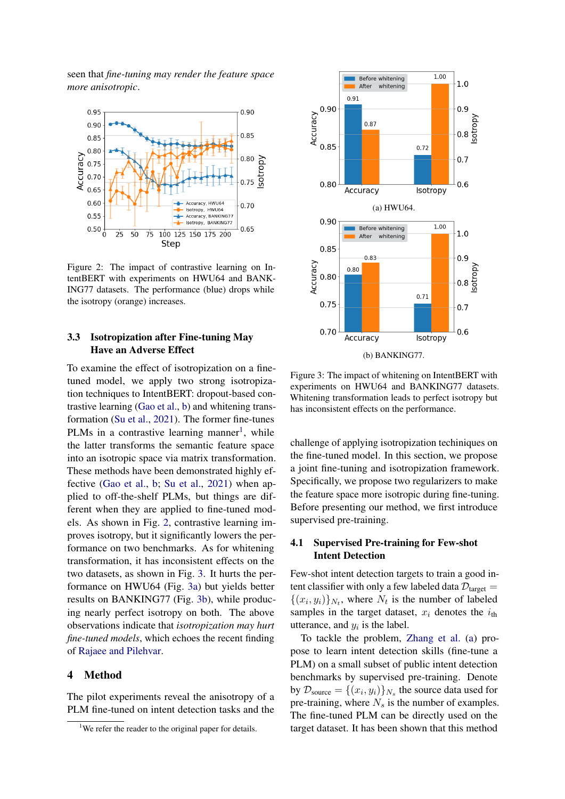seen that *fine-tuning may render the feature space more anisotropic*.

<span id="page-3-2"></span>

Figure 2: The impact of contrastive learning on IntentBERT with experiments on HWU64 and BANK-ING77 datasets. The performance (blue) drops while the isotropy (orange) increases.

## 3.3 Isotropization after Fine-tuning May Have an Adverse Effect

To examine the effect of isotropization on a finetuned model, we apply two strong isotropization techniques to IntentBERT: dropout-based contrastive learning [\(Gao et al.,](#page-9-9) [b\)](#page-9-9) and whitening transformation [\(Su et al.,](#page-10-5) [2021\)](#page-10-5). The former fine-tunes PLMs in a contrastive learning manner<sup>[1](#page-3-1)</sup>, while the latter transforms the semantic feature space into an isotropic space via matrix transformation. These methods have been demonstrated highly effective [\(Gao et al.,](#page-9-9) [b;](#page-9-9) [Su et al.,](#page-10-5) [2021\)](#page-10-5) when applied to off-the-shelf PLMs, but things are different when they are applied to fine-tuned models. As shown in Fig. [2,](#page-3-2) contrastive learning improves isotropy, but it significantly lowers the performance on two benchmarks. As for whitening transformation, it has inconsistent effects on the two datasets, as shown in Fig. [3.](#page-3-3) It hurts the performance on HWU64 (Fig. [3a\)](#page-3-3) but yields better results on BANKING77 (Fig. [3b\)](#page-3-3), while producing nearly perfect isotropy on both. The above observations indicate that *isotropization may hurt fine-tuned models*, which echoes the recent finding of [Rajaee and Pilehvar.](#page-10-16)

#### 4 Method

The pilot experiments reveal the anisotropy of a PLM fine-tuned on intent detection tasks and the

<span id="page-3-3"></span>

Figure 3: The impact of whitening on IntentBERT with experiments on HWU64 and BANKING77 datasets. Whitening transformation leads to perfect isotropy but has inconsistent effects on the performance.

challenge of applying isotropization techiniques on the fine-tuned model. In this section, we propose a joint fine-tuning and isotropization framework. Specifically, we propose two regularizers to make the feature space more isotropic during fine-tuning. Before presenting our method, we first introduce supervised pre-training.

## <span id="page-3-0"></span>4.1 Supervised Pre-training for Few-shot Intent Detection

Few-shot intent detection targets to train a good intent classifier with only a few labeled data  $\mathcal{D}_{\text{target}} =$  $\{(x_i, y_i)\}_{N_t}$ , where  $N_t$  is the number of labeled samples in the target dataset,  $x_i$  denotes the  $i_{th}$ utterance, and  $y_i$  is the label.

To tackle the problem, [Zhang et al.](#page-10-4) [\(a\)](#page-10-4) propose to learn intent detection skills (fine-tune a PLM) on a small subset of public intent detection benchmarks by supervised pre-training. Denote by  $\mathcal{D}_{\text{source}} = \{(x_i, y_i)\}_{N_s}$  the source data used for pre-training, where  $N_s$  is the number of examples. The fine-tuned PLM can be directly used on the target dataset. It has been shown that this method

<span id="page-3-1"></span><sup>&</sup>lt;sup>1</sup>We refer the reader to the original paper for details.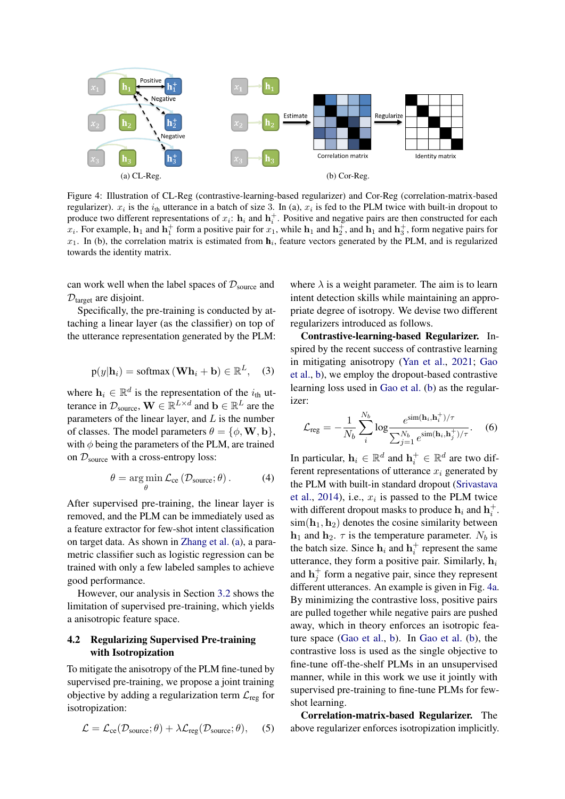<span id="page-4-0"></span>

Figure 4: Illustration of CL-Reg (contrastive-learning-based regularizer) and Cor-Reg (correlation-matrix-based regularizer).  $x_i$  is the  $i_{th}$  utterance in a batch of size 3. In (a),  $x_i$  is fed to the PLM twice with built-in dropout to produce two different representations of  $x_i$ :  $h_i$  and  $h_i^+$ . Positive and negative pairs are then constructed for each  $x_i$ . For example,  $h_1$  and  $h_1^+$  form a positive pair for  $x_1$ , while  $h_1$  and  $h_2^+$ , and  $h_1$  and  $h_3^+$ , form negative pairs for  $x_1$ . In (b), the correlation matrix is estimated from  $h_i$ , feature vectors generated by the PLM, and is regularized towards the identity matrix.

can work well when the label spaces of  $\mathcal{D}_{\text{source}}$  and  $\mathcal{D}_{\text{target}}$  are disjoint.

<span id="page-4-1"></span>Specifically, the pre-training is conducted by attaching a linear layer (as the classifier) on top of the utterance representation generated by the PLM:

$$
p(y|\mathbf{h}_i) = \text{softmax}(\mathbf{W}\mathbf{h}_i + \mathbf{b}) \in \mathbb{R}^L, \quad (3)
$$

where  $h_i \in \mathbb{R}^d$  is the representation of the  $i_{th}$  utterance in  $\mathcal{D}_{\text{source}}$ ,  $\mathbf{W} \in \mathbb{R}^{L \times d}$  and  $\mathbf{b} \in \mathbb{R}^{L}$  are the parameters of the linear layer, and  $L$  is the number of classes. The model parameters  $\theta = {\phi, \mathbf{W}, \mathbf{b}}$ , with  $\phi$  being the parameters of the PLM, are trained on  $\mathcal{D}_{source}$  with a cross-entropy loss:

$$
\theta = \underset{\theta}{\arg\min} \mathcal{L}_{ce} \left( \mathcal{D}_{source}; \theta \right). \tag{4}
$$

After supervised pre-training, the linear layer is removed, and the PLM can be immediately used as a feature extractor for few-shot intent classification on target data. As shown in [Zhang et al.](#page-10-4) [\(a\)](#page-10-4), a parametric classifier such as logistic regression can be trained with only a few labeled samples to achieve good performance.

However, our analysis in Section [3.2](#page-2-0) shows the limitation of supervised pre-training, which yields a anisotropic feature space.

## 4.2 Regularizing Supervised Pre-training with Isotropization

To mitigate the anisotropy of the PLM fine-tuned by supervised pre-training, we propose a joint training objective by adding a regularization term  $\mathcal{L}_{reg}$  for isotropization:

$$
\mathcal{L} = \mathcal{L}_{ce}(\mathcal{D}_{source}; \theta) + \lambda \mathcal{L}_{reg}(\mathcal{D}_{source}; \theta), \quad (5)
$$

where  $\lambda$  is a weight parameter. The aim is to learn intent detection skills while maintaining an appropriate degree of isotropy. We devise two different regularizers introduced as follows.

Contrastive-learning-based Regularizer. Inspired by the recent success of contrastive learning in mitigating anisotropy [\(Yan et al.,](#page-10-18) [2021;](#page-10-18) [Gao](#page-9-9) [et al.,](#page-9-9) [b\)](#page-9-9), we employ the dropout-based contrastive learning loss used in [Gao et al.](#page-9-9) [\(b\)](#page-9-9) as the regularizer:

<span id="page-4-2"></span>
$$
\mathcal{L}_{\text{reg}} = -\frac{1}{N_b} \sum_{i}^{N_b} \log \frac{e^{\sin(\mathbf{h}_i, \mathbf{h}_i^+) / \tau}}{\sum_{j=1}^{N_b} e^{\sin(\mathbf{h}_i, \mathbf{h}_j^+) / \tau}}.
$$
 (6)

In particular,  $\mathbf{h}_i \in \mathbb{R}^d$  and  $\mathbf{h}_i^+ \in \mathbb{R}^d$  are two different representations of utterance  $x_i$  generated by the PLM with built-in standard dropout [\(Srivastava](#page-10-19) [et al.,](#page-10-19) [2014\)](#page-10-19), i.e.,  $x_i$  is passed to the PLM twice with different dropout masks to produce  $\mathbf{h}_i$  and  $\mathbf{h}_i^+$ .  $\sin(h_1, h_2)$  denotes the cosine similarity between  $h_1$  and  $h_2$ .  $\tau$  is the temperature parameter. N<sub>b</sub> is the batch size. Since  $h_i$  and  $h_i^+$  represent the same utterance, they form a positive pair. Similarly,  $h_i$ and  $\mathbf{h}_j^+$  form a negative pair, since they represent different utterances. An example is given in Fig. [4a.](#page-4-0) By minimizing the contrastive loss, positive pairs are pulled together while negative pairs are pushed away, which in theory enforces an isotropic feature space [\(Gao et al.,](#page-9-9) [b\)](#page-9-9). In [Gao et al.](#page-9-9) [\(b\)](#page-9-9), the contrastive loss is used as the single objective to fine-tune off-the-shelf PLMs in an unsupervised manner, while in this work we use it jointly with supervised pre-training to fine-tune PLMs for fewshot learning.

Correlation-matrix-based Regularizer. The above regularizer enforces isotropization implicitly.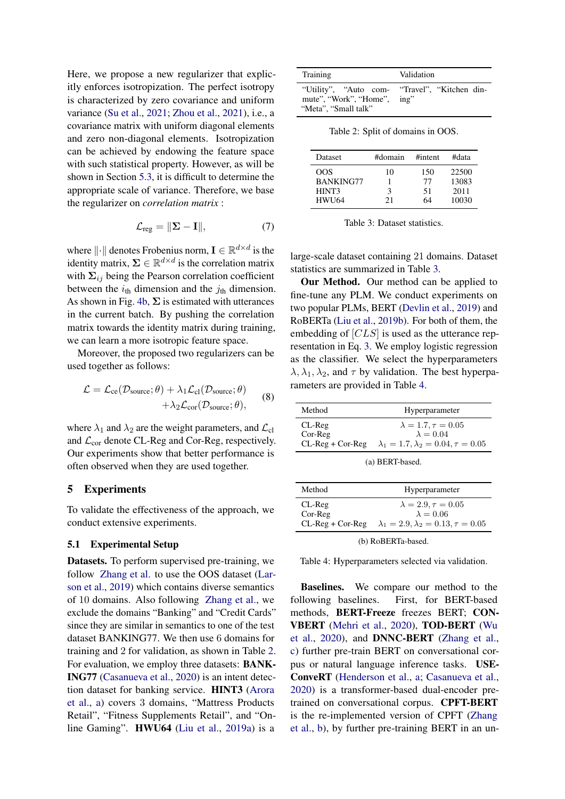Here, we propose a new regularizer that explicitly enforces isotropization. The perfect isotropy is characterized by zero covariance and uniform variance [\(Su et al.,](#page-10-5) [2021;](#page-10-5) [Zhou et al.,](#page-10-17) [2021\)](#page-10-17), i.e., a covariance matrix with uniform diagonal elements and zero non-diagonal elements. Isotropization can be achieved by endowing the feature space with such statistical property. However, as will be shown in Section [5.3,](#page-7-0) it is difficult to determine the appropriate scale of variance. Therefore, we base the regularizer on *correlation matrix* :

$$
\mathcal{L}_{reg} = \|\Sigma - \mathbf{I}\|,\tag{7}
$$

where  $\|\cdot\|$  denotes Frobenius norm,  $\mathbf{I} \in \mathbb{R}^{d \times d}$  is the identity matrix,  $\Sigma \in \mathbb{R}^{d \times d}$  is the correlation matrix with  $\Sigma_{ij}$  being the Pearson correlation coefficient between the  $i_{\text{th}}$  dimension and the  $j_{\text{th}}$  dimension. As shown in Fig. [4b,](#page-4-0)  $\Sigma$  is estimated with utterances in the current batch. By pushing the correlation matrix towards the identity matrix during training, we can learn a more isotropic feature space.

Moreover, the proposed two regularizers can be used together as follows:

$$
\mathcal{L} = \mathcal{L}_{ce}(\mathcal{D}_{source}; \theta) + \lambda_1 \mathcal{L}_{cl}(\mathcal{D}_{source}; \theta) + \lambda_2 \mathcal{L}_{cor}(\mathcal{D}_{source}; \theta),
$$
 (8)

where  $\lambda_1$  and  $\lambda_2$  are the weight parameters, and  $\mathcal{L}_{cl}$ and  $\mathcal{L}_{cor}$  denote CL-Reg and Cor-Reg, respectively. Our experiments show that better performance is often observed when they are used together.

#### 5 Experiments

To validate the effectiveness of the approach, we conduct extensive experiments.

### 5.1 Experimental Setup

Datasets. To perform supervised pre-training, we follow [Zhang et al.](#page-10-4) to use the OOS dataset [\(Lar](#page-9-18)[son et al.,](#page-9-18) [2019\)](#page-9-18) which contains diverse semantics of 10 domains. Also following [Zhang et al.,](#page-10-4) we exclude the domains "Banking" and "Credit Cards" since they are similar in semantics to one of the test dataset BANKING77. We then use 6 domains for training and 2 for validation, as shown in Table [2.](#page-5-0) For evaluation, we employ three datasets: BANK-ING77 [\(Casanueva et al.,](#page-9-19) [2020\)](#page-9-19) is an intent detection dataset for banking service. HINT3 [\(Arora](#page-9-20) [et al.,](#page-9-20) [a\)](#page-9-20) covers 3 domains, "Mattress Products Retail", "Fitness Supplements Retail", and "Online Gaming". HWU64 [\(Liu et al.,](#page-9-21) [2019a\)](#page-9-21) is a

<span id="page-5-0"></span>

| Training                                            | Validation                                    |  |  |  |
|-----------------------------------------------------|-----------------------------------------------|--|--|--|
| mute", "Work", "Home", ing"<br>"Meta", "Small talk" | "Utility", "Auto com- "Travel", "Kitchen din- |  |  |  |

Table 2: Split of domains in OOS.

<span id="page-5-1"></span>

| <b>Dataset</b>   | #domain | #intent | #data |
|------------------|---------|---------|-------|
| OOS              | 10      | 150     | 22500 |
| <b>BANKING77</b> |         | 77      | 13083 |
| HINT3            | ٦       | 51      | 2011  |
| <b>HWU64</b>     | 21      | 64      | 10030 |

Table 3: Dataset statistics.

large-scale dataset containing 21 domains. Dataset statistics are summarized in Table [3.](#page-5-1)

Our Method. Our method can be applied to fine-tune any PLM. We conduct experiments on two popular PLMs, BERT [\(Devlin et al.,](#page-9-17) [2019\)](#page-9-17) and RoBERTa [\(Liu et al.,](#page-9-22) [2019b\)](#page-9-22). For both of them, the embedding of [CLS] is used as the utterance representation in Eq. [3.](#page-4-1) We employ logistic regression as the classifier. We select the hyperparameters  $\lambda$ ,  $\lambda_1$ ,  $\lambda_2$ , and  $\tau$  by validation. The best hyperparameters are provided in Table [4.](#page-5-2)

<span id="page-5-2"></span>

| Method             | Hyperparameter                                   |
|--------------------|--------------------------------------------------|
| $CL-Reg$           | $\lambda = 1.7, \tau = 0.05$                     |
| Cor-Reg            | $\lambda = 0.04$                                 |
| $CL-Reg + Cor-Reg$ | $\lambda_1 = 1.7, \lambda_2 = 0.04, \tau = 0.05$ |

(a) BERT-based.

| Method                                    | Hyperparameter                                                                                       |
|-------------------------------------------|------------------------------------------------------------------------------------------------------|
| $CL-Reg$<br>Cor-Reg<br>$CL-Reg + Cor-Reg$ | $\lambda = 2.9, \tau = 0.05$<br>$\lambda = 0.06$<br>$\lambda_1 = 2.9, \lambda_2 = 0.13, \tau = 0.05$ |
|                                           |                                                                                                      |

(b) RoBERTa-based.

Table 4: Hyperparameters selected via validation.

Baselines. We compare our method to the following baselines. First, for BERT-based methods, BERT-Freeze freezes BERT; CON-VBERT [\(Mehri et al.,](#page-9-15) [2020\)](#page-9-15), TOD-BERT [\(Wu](#page-10-3) [et al.,](#page-10-3) [2020\)](#page-10-3), and DNNC-BERT [\(Zhang et al.,](#page-10-11) [c\)](#page-10-11) further pre-train BERT on conversational corpus or natural language inference tasks. USE-ConveRT [\(Henderson et al.,](#page-9-23) [a;](#page-9-23) [Casanueva et al.,](#page-9-19) [2020\)](#page-9-19) is a transformer-based dual-encoder pretrained on conversational corpus. CPFT-BERT is the re-implemented version of CPFT [\(Zhang](#page-10-1) [et al.,](#page-10-1) [b\)](#page-10-1), by further pre-training BERT in an un-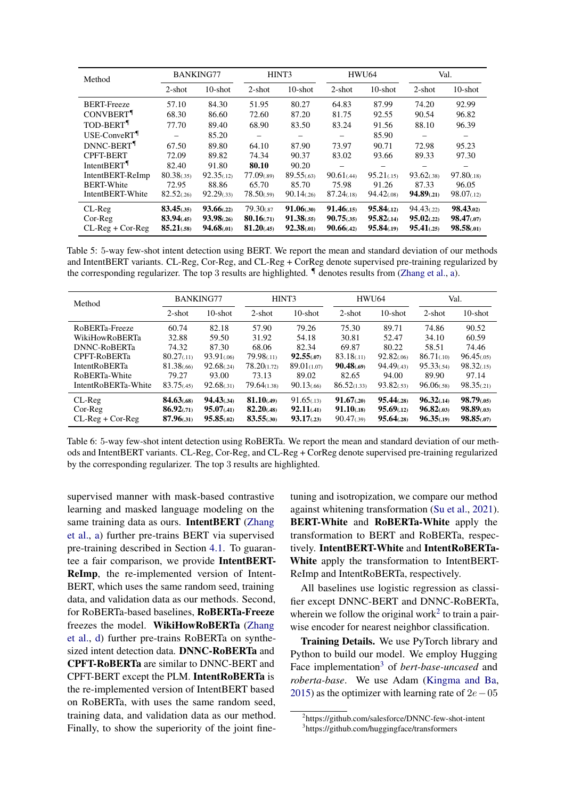<span id="page-6-2"></span>

| Method                       |                          | <b>BANKING77</b>               |                          | HINT3                    |                         | HWU64                     |                            | Val.                   |
|------------------------------|--------------------------|--------------------------------|--------------------------|--------------------------|-------------------------|---------------------------|----------------------------|------------------------|
|                              | $2$ -shot                | $10$ -shot                     | $2$ -shot                | $10$ -shot               | $2$ -shot               | $10$ -shot                | $2$ -shot                  | $10$ -shot             |
| <b>BERT-Freeze</b>           | 57.10                    | 84.30                          | 51.95                    | 80.27                    | 64.83                   | 87.99                     | 74.20                      | 92.99                  |
| <b>CONVBERT</b> <sup>1</sup> | 68.30                    | 86.60                          | 72.60                    | 87.20                    | 81.75                   | 92.55                     | 90.54                      | 96.82                  |
| TOD-BERT <sup>¶</sup>        | 77.70                    | 89.40                          | 68.90                    | 83.50                    | 83.24                   | 91.56                     | 88.10                      | 96.39                  |
| USE-ConveRT <sup>1</sup>     |                          | 85.20                          |                          |                          | -                       | 85.90                     |                            |                        |
| DNNC-BERT <sup>¶</sup>       | 67.50                    | 89.80                          | 64.10                    | 87.90                    | 73.97                   | 90.71                     | 72.98                      | 95.23                  |
| <b>CPFT-BERT</b>             | 72.09                    | 89.82                          | 74.34                    | 90.37                    | 83.02                   | 93.66                     | 89.33                      | 97.30                  |
| IntentBERT <sup>¶</sup>      | 82.40                    | 91.80                          | 80.10                    | 90.20                    |                         |                           |                            |                        |
| IntentBERT-ReImp             | 80.38(0.35)              | 92.35(.12)                     | 77.09(.89)               | 89.55(.63)               | 90.61(.44)              | 95.21(.15)                | 93.62(.38)                 | 97.80(0.18)            |
| <b>BERT-White</b>            | 72.95                    | 88.86                          | 65.70                    | 85.70                    | 75.98                   | 91.26                     | 87.33                      | 96.05                  |
| IntentBERT-White             | 82.52(.26)               | 92.29(.33)                     | 78.50(.59)               | 90.14(.26)               | 87.24(0.18)             | 94.42(08)                 | 94.89(0.21)                | 98.07(0.12)            |
| $CL-Reg$<br>$Cor-Reg$        | 83.45(.35)<br>83.94(.45) | 93.66(.22)<br>$93.98_{(0.26)}$ | 79.30(.87<br>80.16(0.71) | 91.06(.30)<br>91.38(.55) | 91.46(15)<br>90.75(.35) | 95.84(.12)<br>95.82(0.14) | 94.43(0.22)<br>95.02(0.22) | 98.43.02)<br>98.47(07) |
| $CL-Reg + Cor-Reg$           | 85.21(.58)               | 94.68(01)                      | 81.20(45)                | 92.38(01)                | 90.66(42)               | 95.84(.19)                | 95.41(0.25)                | 98.58(01)              |

Table 5: 5-way few-shot intent detection using BERT. We report the mean and standard deviation of our methods and IntentBERT variants. CL-Reg, Cor-Reg, and CL-Reg + CorReg denote supervised pre-training regularized by the corresponding regularizer. The top 3 results are highlighted. ¶ denotes results from [\(Zhang et al.,](#page-10-4) [a\)](#page-10-4).

<span id="page-6-3"></span>

| Method                                     | <b>BANKING77</b>                            |                                     | HINT <sub>3</sub>                     |                                       | <b>HWU64</b>                            |                                           | Val.                                   |                                         |
|--------------------------------------------|---------------------------------------------|-------------------------------------|---------------------------------------|---------------------------------------|-----------------------------------------|-------------------------------------------|----------------------------------------|-----------------------------------------|
|                                            | $2$ -shot                                   | $10$ -shot                          | $2$ -shot                             | $10$ -shot                            | $2$ -shot                               | $10$ -shot                                | $2$ -shot                              | $10$ -shot                              |
| RoBERTa-Freeze                             | 60.74                                       | 82.18                               | 57.90                                 | 79.26                                 | 75.30                                   | 89.71                                     | 74.86                                  | 90.52                                   |
| <b>WikiHowRoBERTa</b>                      | 32.88                                       | 59.50                               | 31.92                                 | 54.18                                 | 30.81                                   | 52.47                                     | 34.10                                  | 60.59                                   |
| <b>DNNC-RoBERTa</b>                        | 74.32                                       | 87.30                               | 68.06                                 | 82.34                                 | 69.87                                   | 80.22                                     | 58.51                                  | 74.46                                   |
| <b>CPFT-RoBERTa</b>                        | 80.27(0.11)                                 | 93.91(.06)                          | 79.98(11)                             | 92.55(07)                             | 83.18(.11)                              | 92.82(06)                                 | 86.71(.10)                             | 96.45(0.05)                             |
| <b>IntentRoBERTa</b>                       | 81.38(.66)                                  | 92.68(0.24)                         | 78.20(1.72)                           | 89.01(1.07)                           | 90.48(69)                               | 94.49(0.43)                               | 95.33(54)                              | 98.32(.15)                              |
| RoBERTa-White                              | 79.27                                       | 93.00                               | 73.13                                 | 89.02                                 | 82.65                                   | 94.00                                     | 89.90                                  | 97.14                                   |
| IntentRoBERTa-White                        | 83.75(.45)                                  | 92.68(31)                           | 79.64(1.38)                           | 90.13(66)                             | 86.52(1.33)                             | 93.82(.53)                                | 96.06(.58)                             | 98.35(0.21)                             |
| $CL-Reg$<br>$Cor-Re$<br>$CL-Reg + Cor-Reg$ | $84.63^{(68)}$<br>86.92(0.71)<br>87.96(.31) | 94.43(34)<br>95.07(41)<br>95.85(02) | 81.10(.49)<br>82.20(48)<br>83.55(.30) | 91.65(13)<br>92.11(41)<br>93.17(0.23) | 91.67(0.20)<br>91.10(18)<br>90.47(0.39) | 95.44(0.28)<br>95.69(0.12)<br>95.64(0.28) | 96.32(0.14)<br>96.82(03)<br>96.35(.19) | 98.79(0.05)<br>98.89(0.03)<br>98.85(07) |

Table 6: 5-way few-shot intent detection using RoBERTa. We report the mean and standard deviation of our methods and IntentBERT variants. CL-Reg, Cor-Reg, and CL-Reg + CorReg denote supervised pre-training regularized by the corresponding regularizer. The top 3 results are highlighted.

supervised manner with mask-based contrastive learning and masked language modeling on the same training data as ours. IntentBERT [\(Zhang](#page-10-4) [et al.,](#page-10-4) [a\)](#page-10-4) further pre-trains BERT via supervised pre-training described in Section [4.1.](#page-3-0) To guarantee a fair comparison, we provide IntentBERT-ReImp, the re-implemented version of Intent-BERT, which uses the same random seed, training data, and validation data as our methods. Second, for RoBERTa-based baselines, RoBERTa-Freeze freezes the model. WikiHowRoBERTa [\(Zhang](#page-10-20) [et al.,](#page-10-20) [d\)](#page-10-20) further pre-trains RoBERTa on synthesized intent detection data. DNNC-RoBERTa and CPFT-RoBERTa are similar to DNNC-BERT and CPFT-BERT except the PLM. IntentRoBERTa is the re-implemented version of IntentBERT based on RoBERTa, with uses the same random seed, training data, and validation data as our method. Finally, to show the superiority of the joint finetuning and isotropization, we compare our method against whitening transformation [\(Su et al.,](#page-10-5) [2021\)](#page-10-5). BERT-White and RoBERTa-White apply the transformation to BERT and RoBERTa, respectively. IntentBERT-White and IntentRoBERTa-White apply the transformation to IntentBERT-ReImp and IntentRoBERTa, respectively.

All baselines use logistic regression as classifier except DNNC-BERT and DNNC-RoBERTa, wherein we follow the original work<sup>[2](#page-6-0)</sup> to train a pairwise encoder for nearest neighbor classification.

Training Details. We use PyTorch library and Python to build our model. We employ Hugging Face implementation[3](#page-6-1) of *bert-base-uncased* and *roberta-base*. We use Adam [\(Kingma and Ba,](#page-9-24) [2015\)](#page-9-24) as the optimizer with learning rate of  $2e-05$ 

<span id="page-6-0"></span><sup>2</sup> https://github.com/salesforce/DNNC-few-shot-intent

<span id="page-6-1"></span><sup>3</sup> https://github.com/huggingface/transformers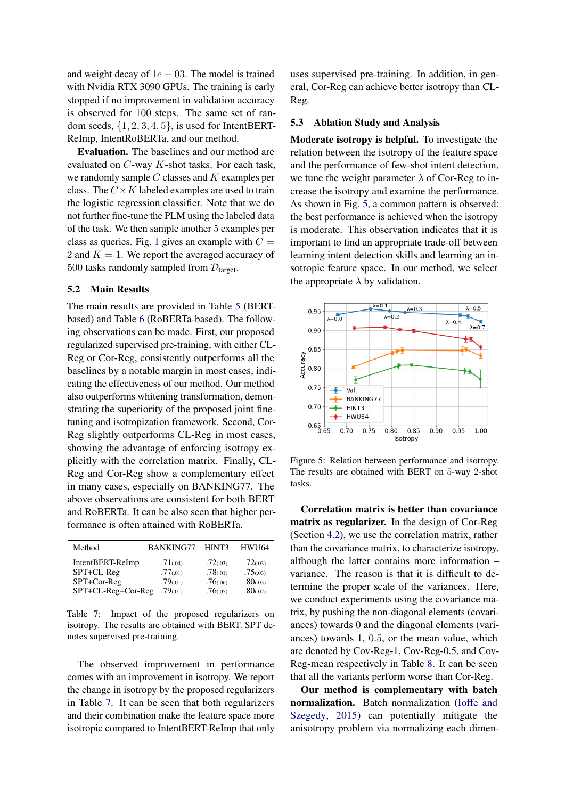and weight decay of  $1e - 03$ . The model is trained with Nvidia RTX 3090 GPUs. The training is early stopped if no improvement in validation accuracy is observed for 100 steps. The same set of random seeds,  $\{1, 2, 3, 4, 5\}$ , is used for IntentBERT-ReImp, IntentRoBERTa, and our method.

Evaluation. The baselines and our method are evaluated on C-way K-shot tasks. For each task, we randomly sample  $C$  classes and  $K$  examples per class. The  $C \times K$  labeled examples are used to train the logistic regression classifier. Note that we do not further fine-tune the PLM using the labeled data of the task. We then sample another 5 examples per class as queries. Fig. [1](#page-1-0) gives an example with  $C =$ 2 and  $K = 1$ . We report the averaged accuracy of 500 tasks randomly sampled from  $\mathcal{D}_{\text{target}}$ .

## 5.2 Main Results

The main results are provided in Table [5](#page-6-2) (BERTbased) and Table [6](#page-6-3) (RoBERTa-based). The following observations can be made. First, our proposed regularized supervised pre-training, with either CL-Reg or Cor-Reg, consistently outperforms all the baselines by a notable margin in most cases, indicating the effectiveness of our method. Our method also outperforms whitening transformation, demonstrating the superiority of the proposed joint finetuning and isotropization framework. Second, Cor-Reg slightly outperforms CL-Reg in most cases, showing the advantage of enforcing isotropy explicitly with the correlation matrix. Finally, CL-Reg and Cor-Reg show a complementary effect in many cases, especially on BANKING77. The above observations are consistent for both BERT and RoBERTa. It can be also seen that higher performance is often attained with RoBERTa.

<span id="page-7-1"></span>

| Method             | <b>BANKING77</b> | HINT3     | <b>HWU64</b> |
|--------------------|------------------|-----------|--------------|
| IntentBERT-ReImp   | .71(.04)         | .72(03)   | .72(03)      |
| SPT+CL-Reg         | .77(01)          | .78(01)   | .75(0.03)    |
| SPT+Cor-Reg        | .79(01)          | .76(0)    | .80(0.03)    |
| SPT+CL-Reg+Cor-Reg | .79(01)          | .76(0.05) | .80(.02)     |

Table 7: Impact of the proposed regularizers on isotropy. The results are obtained with BERT. SPT denotes supervised pre-training.

The observed improvement in performance comes with an improvement in isotropy. We report the change in isotropy by the proposed regularizers in Table [7.](#page-7-1) It can be seen that both regularizers and their combination make the feature space more isotropic compared to IntentBERT-ReImp that only

uses supervised pre-training. In addition, in general, Cor-Reg can achieve better isotropy than CL-Reg.

## 5.3 Ablation Study and Analysis

Moderate isotropy is helpful. To investigate the relation between the isotropy of the feature space and the performance of few-shot intent detection, we tune the weight parameter  $\lambda$  of Cor-Reg to increase the isotropy and examine the performance. As shown in Fig. [5,](#page-7-0) a common pattern is observed: the best performance is achieved when the isotropy is moderate. This observation indicates that it is important to find an appropriate trade-off between learning intent detection skills and learning an insotropic feature space. In our method, we select the appropriate  $\lambda$  by validation.

<span id="page-7-0"></span>

Figure 5: Relation between performance and isotropy. The results are obtained with BERT on 5-way 2-shot tasks.

Correlation matrix is better than covariance matrix as regularizer. In the design of Cor-Reg (Section [4.2\)](#page-4-2), we use the correlation matrix, rather than the covariance matrix, to characterize isotropy, although the latter contains more information – variance. The reason is that it is difficult to determine the proper scale of the variances. Here, we conduct experiments using the covariance matrix, by pushing the non-diagonal elements (covariances) towards 0 and the diagonal elements (variances) towards 1, 0.5, or the mean value, which are denoted by Cov-Reg-1, Cov-Reg-0.5, and Cov-Reg-mean respectively in Table [8.](#page-8-0) It can be seen that all the variants perform worse than Cor-Reg.

Our method is complementary with batch normalization. Batch normalization [\(Ioffe and](#page-9-25) [Szegedy,](#page-9-25) [2015\)](#page-9-25) can potentially mitigate the anisotropy problem via normalizing each dimen-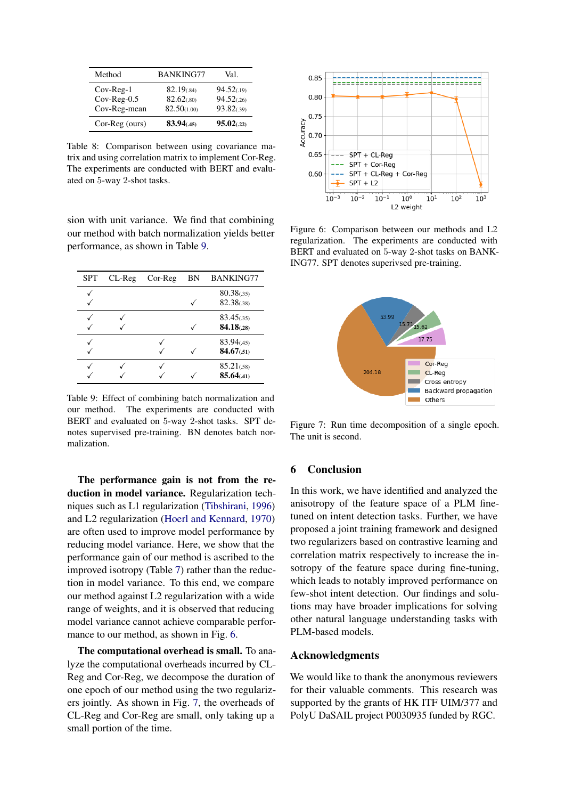<span id="page-8-0"></span>

| Method         | <b>BANKING77</b> | Val.        |
|----------------|------------------|-------------|
| $Cov-Reg-1$    | 82.19(0.84)      | 94.52(.19)  |
| $Cov-Reg-0.5$  | 82.62(.80)       | 94.52(.26)  |
| Cov-Reg-mean   | 82.50(1.00)      | 93.82(.39)  |
| Cor-Reg (ours) | 83.94(.45)       | 95.02(0.22) |

Table 8: Comparison between using covariance matrix and using correlation matrix to implement Cor-Reg. The experiments are conducted with BERT and evaluated on 5-way 2-shot tasks.

sion with unit variance. We find that combining our method with batch normalization yields better performance, as shown in Table [9.](#page-8-1)

<span id="page-8-1"></span>

| <b>SPT</b> | $CL-Reg$ | $Cor-Re$ | ΒN | <b>BANKING77</b>          |
|------------|----------|----------|----|---------------------------|
|            |          |          |    | 80.38(0.35)<br>82.38(.38) |
|            |          |          |    | 83.45(.35)<br>84.18(.28)  |
|            |          |          |    | 83.94(.45)<br>84.67(0.51) |
|            |          |          |    | 85.21(.58)<br>85.64(.41)  |

Table 9: Effect of combining batch normalization and our method. The experiments are conducted with BERT and evaluated on 5-way 2-shot tasks. SPT denotes supervised pre-training. BN denotes batch normalization.

The performance gain is not from the reduction in model variance. Regularization techniques such as L1 regularization [\(Tibshirani,](#page-10-21) [1996\)](#page-10-21) and L2 regularization [\(Hoerl and Kennard,](#page-9-26) [1970\)](#page-9-26) are often used to improve model performance by reducing model variance. Here, we show that the performance gain of our method is ascribed to the improved isotropy (Table [7\)](#page-7-1) rather than the reduction in model variance. To this end, we compare our method against L2 regularization with a wide range of weights, and it is observed that reducing model variance cannot achieve comparable performance to our method, as shown in Fig. [6.](#page-8-2)

The computational overhead is small. To analyze the computational overheads incurred by CL-Reg and Cor-Reg, we decompose the duration of one epoch of our method using the two regularizers jointly. As shown in Fig. [7,](#page-8-3) the overheads of CL-Reg and Cor-Reg are small, only taking up a small portion of the time.

<span id="page-8-2"></span>

Figure 6: Comparison between our methods and L2 regularization. The experiments are conducted with BERT and evaluated on 5-way 2-shot tasks on BANK-ING77. SPT denotes superivsed pre-training.

<span id="page-8-3"></span>

Figure 7: Run time decomposition of a single epoch. The unit is second.

## 6 Conclusion

In this work, we have identified and analyzed the anisotropy of the feature space of a PLM finetuned on intent detection tasks. Further, we have proposed a joint training framework and designed two regularizers based on contrastive learning and correlation matrix respectively to increase the insotropy of the feature space during fine-tuning, which leads to notably improved performance on few-shot intent detection. Our findings and solutions may have broader implications for solving other natural language understanding tasks with PLM-based models.

## Acknowledgments

We would like to thank the anonymous reviewers for their valuable comments. This research was supported by the grants of HK ITF UIM/377 and PolyU DaSAIL project P0030935 funded by RGC.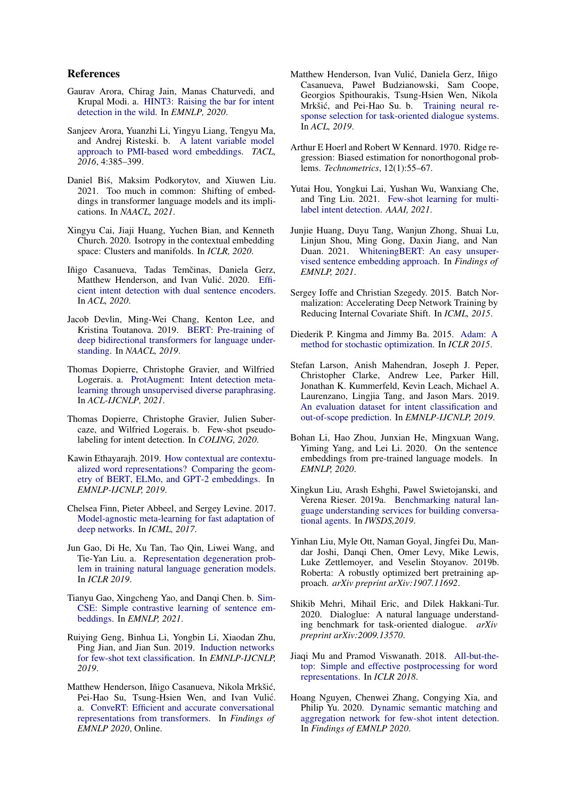## References

- <span id="page-9-20"></span>Gaurav Arora, Chirag Jain, Manas Chaturvedi, and Krupal Modi. a. [HINT3: Raising the bar for intent](https://doi.org/10.18653/v1/2020.insights-1.16) [detection in the wild.](https://doi.org/10.18653/v1/2020.insights-1.16) In *EMNLP, 2020*.
- <span id="page-9-6"></span>Sanjeev Arora, Yuanzhi Li, Yingyu Liang, Tengyu Ma, and Andrej Risteski. b. [A latent variable model](https://doi.org/10.1162/tacl_a_00106) [approach to PMI-based word embeddings.](https://doi.org/10.1162/tacl_a_00106) *TACL, 2016*, 4:385–399.
- <span id="page-9-16"></span>Daniel Bis, Maksim Podkorytov, and Xiuwen Liu. ´ 2021. Too much in common: Shifting of embeddings in transformer language models and its implications. In *NAACL, 2021*.
- <span id="page-9-7"></span>Xingyu Cai, Jiaji Huang, Yuchen Bian, and Kenneth Church. 2020. Isotropy in the contextual embedding space: Clusters and manifolds. In *ICLR, 2020*.
- <span id="page-9-19"></span>Iñigo Casanueva, Tadas Temčinas, Daniela Gerz, Matthew Henderson, and Ivan Vulić. 2020. [Effi](https://doi.org/10.18653/v1/2020.nlp4convai-1.5)[cient intent detection with dual sentence encoders.](https://doi.org/10.18653/v1/2020.nlp4convai-1.5) In *ACL, 2020*.
- <span id="page-9-17"></span>Jacob Devlin, Ming-Wei Chang, Kenton Lee, and Kristina Toutanova. 2019. [BERT: Pre-training of](https://doi.org/10.18653/v1/N19-1423) [deep bidirectional transformers for language under](https://doi.org/10.18653/v1/N19-1423)[standing.](https://doi.org/10.18653/v1/N19-1423) In *NAACL, 2019*.
- <span id="page-9-12"></span>Thomas Dopierre, Christophe Gravier, and Wilfried Logerais. a. [ProtAugment: Intent detection meta](https://doi.org/10.18653/v1/2021.acl-long.191)[learning through unsupervised diverse paraphrasing.](https://doi.org/10.18653/v1/2021.acl-long.191) In *ACL-IJCNLP, 2021*.
- <span id="page-9-0"></span>Thomas Dopierre, Christophe Gravier, Julien Subercaze, and Wilfried Logerais. b. Few-shot pseudolabeling for intent detection. In *COLING, 2020*.
- <span id="page-9-4"></span>Kawin Ethayarajh. 2019. [How contextual are contextu](https://doi.org/10.18653/v1/D19-1006)[alized word representations? Comparing the geom](https://doi.org/10.18653/v1/D19-1006)[etry of BERT, ELMo, and GPT-2 embeddings.](https://doi.org/10.18653/v1/D19-1006) In *EMNLP-IJCNLP, 2019*.
- <span id="page-9-11"></span>Chelsea Finn, Pieter Abbeel, and Sergey Levine. 2017. [Model-agnostic meta-learning for fast adaptation of](https://proceedings.mlr.press/v70/finn17a.html) [deep networks.](https://proceedings.mlr.press/v70/finn17a.html) In *ICML, 2017*.
- <span id="page-9-3"></span>Jun Gao, Di He, Xu Tan, Tao Qin, Liwei Wang, and Tie-Yan Liu. a. [Representation degeneration prob](https://openreview.net/forum?id=SkEYojRqtm)[lem in training natural language generation models.](https://openreview.net/forum?id=SkEYojRqtm) In *ICLR 2019*.
- <span id="page-9-9"></span>Tianyu Gao, Xingcheng Yao, and Danqi Chen. b. [Sim-](https://aclanthology.org/2021.emnlp-main.552)[CSE: Simple contrastive learning of sentence em](https://aclanthology.org/2021.emnlp-main.552)[beddings.](https://aclanthology.org/2021.emnlp-main.552) In *EMNLP, 2021*.
- <span id="page-9-1"></span>Ruiying Geng, Binhua Li, Yongbin Li, Xiaodan Zhu, Ping Jian, and Jian Sun. 2019. [Induction networks](https://doi.org/10.18653/v1/D19-1403) [for few-shot text classification.](https://doi.org/10.18653/v1/D19-1403) In *EMNLP-IJCNLP, 2019*.
- <span id="page-9-23"></span>Matthew Henderson, Iñigo Casanueva, Nikola Mrkšic,´ Pei-Hao Su, Tsung-Hsien Wen, and Ivan Vulić. a. [ConveRT: Efficient and accurate conversational](https://doi.org/10.18653/v1/2020.findings-emnlp.196) [representations from transformers.](https://doi.org/10.18653/v1/2020.findings-emnlp.196) In *Findings of EMNLP 2020*, Online.
- <span id="page-9-14"></span>Matthew Henderson, Ivan Vulic, Daniela Gerz, Iñigo ´ Casanueva, Paweł Budzianowski, Sam Coope, Georgios Spithourakis, Tsung-Hsien Wen, Nikola Mrkšić, and Pei-Hao Su. b. [Training neural re](https://doi.org/10.18653/v1/P19-1536)[sponse selection for task-oriented dialogue systems.](https://doi.org/10.18653/v1/P19-1536) In *ACL, 2019*.
- <span id="page-9-26"></span>Arthur E Hoerl and Robert W Kennard. 1970. Ridge regression: Biased estimation for nonorthogonal problems. *Technometrics*, 12(1):55–67.
- <span id="page-9-13"></span>Yutai Hou, Yongkui Lai, Yushan Wu, Wanxiang Che, and Ting Liu. 2021. [Few-shot learning for multi](https://ojs.aaai.org/index.php/AAAI/article/view/17541)[label intent detection.](https://ojs.aaai.org/index.php/AAAI/article/view/17541) *AAAI, 2021*.
- <span id="page-9-8"></span>Junjie Huang, Duyu Tang, Wanjun Zhong, Shuai Lu, Linjun Shou, Ming Gong, Daxin Jiang, and Nan Duan. 2021. [WhiteningBERT: An easy unsuper](https://doi.org/10.18653/v1/2021.findings-emnlp.23)[vised sentence embedding approach.](https://doi.org/10.18653/v1/2021.findings-emnlp.23) In *Findings of EMNLP, 2021*.
- <span id="page-9-25"></span>Sergey Ioffe and Christian Szegedy. 2015. Batch Normalization: Accelerating Deep Network Training by Reducing Internal Covariate Shift. In *ICML, 2015*.
- <span id="page-9-24"></span>Diederik P. Kingma and Jimmy Ba. 2015. [Adam: A](http://arxiv.org/abs/1412.6980) [method for stochastic optimization.](http://arxiv.org/abs/1412.6980) In *ICLR 2015*.
- <span id="page-9-18"></span>Stefan Larson, Anish Mahendran, Joseph J. Peper, Christopher Clarke, Andrew Lee, Parker Hill, Jonathan K. Kummerfeld, Kevin Leach, Michael A. Laurenzano, Lingjia Tang, and Jason Mars. 2019. [An evaluation dataset for intent classification and](https://doi.org/10.18653/v1/D19-1131) [out-of-scope prediction.](https://doi.org/10.18653/v1/D19-1131) In *EMNLP-IJCNLP, 2019*.
- <span id="page-9-5"></span>Bohan Li, Hao Zhou, Junxian He, Mingxuan Wang, Yiming Yang, and Lei Li. 2020. On the sentence embeddings from pre-trained language models. In *EMNLP, 2020*.
- <span id="page-9-21"></span>Xingkun Liu, Arash Eshghi, Pawel Swietojanski, and Verena Rieser. 2019a. [Benchmarking natural lan](https://doi.org/10.1007/978-981-15-9323-9_15)[guage understanding services for building conversa](https://doi.org/10.1007/978-981-15-9323-9_15)[tional agents.](https://doi.org/10.1007/978-981-15-9323-9_15) In *IWSDS,2019*.
- <span id="page-9-22"></span>Yinhan Liu, Myle Ott, Naman Goyal, Jingfei Du, Mandar Joshi, Danqi Chen, Omer Levy, Mike Lewis, Luke Zettlemoyer, and Veselin Stoyanov. 2019b. Roberta: A robustly optimized bert pretraining approach. *arXiv preprint arXiv:1907.11692*.
- <span id="page-9-15"></span>Shikib Mehri, Mihail Eric, and Dilek Hakkani-Tur. 2020. Dialoglue: A natural language understanding benchmark for task-oriented dialogue. *arXiv preprint arXiv:2009.13570*.
- <span id="page-9-10"></span>Jiaqi Mu and Pramod Viswanath. 2018. [All-but-the](https://openreview.net/forum?id=HkuGJ3kCb)[top: Simple and effective postprocessing for word](https://openreview.net/forum?id=HkuGJ3kCb) [representations.](https://openreview.net/forum?id=HkuGJ3kCb) In *ICLR 2018*.
- <span id="page-9-2"></span>Hoang Nguyen, Chenwei Zhang, Congying Xia, and Philip Yu. 2020. [Dynamic semantic matching and](https://doi.org/10.18653/v1/2020.findings-emnlp.108) [aggregation network for few-shot intent detection.](https://doi.org/10.18653/v1/2020.findings-emnlp.108) In *Findings of EMNLP 2020*.